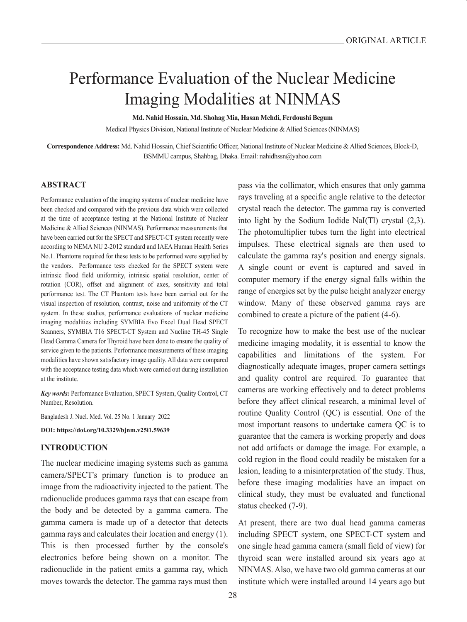# Performance Evaluation of the Nuclear Medicine Imaging Modalities at NINMAS

**Md. Nahid Hossain, Md. Shohag Mia, Hasan Mehdi, Ferdoushi Begum**

Medical Physics Division, National Institute of Nuclear Medicine & Allied Sciences (NINMAS)

**Correspondence Address:** Md. Nahid Hossain, Chief Scientific Officer, National Institute of Nuclear Medicine & Allied Sciences, Block-D, BSMMU campus, Shahbag, Dhaka. Email: nahidhssn@yahoo.com

#### **ABSTRACT**

Performance evaluation of the imaging systems of nuclear medicine have been checked and compared with the previous data which were collected at the time of acceptance testing at the National Institute of Nuclear Medicine & Allied Sciences (NINMAS). Performance measurements that have been carried out for the SPECT and SPECT-CT system recently were according to NEMA NU 2-2012 standard and IAEA Human Health Series No.1. Phantoms required for these tests to be performed were supplied by the vendors. Performance tests checked for the SPECT system were intrinsic flood field uniformity, intrinsic spatial resolution, center of rotation (COR), offset and alignment of axes, sensitivity and total performance test. The CT Phantom tests have been carried out for the visual inspection of resolution, contrast, noise and uniformity of the CT system. In these studies, performance evaluations of nuclear medicine imaging modalities including SYMBIA Evo Excel Dual Head SPECT Scanners, SYMBIA T16 SPECT-CT System and Nucline TH-45 Single Head Gamma Camera for Thyroid have been done to ensure the quality of service given to the patients. Performance measurements of these imaging modalities have shown satisfactory image quality. All data were compared with the acceptance testing data which were carried out during installation at the institute.

*Key words:* Performance Evaluation, SPECT System, Quality Control, CT Number, Resolution.

Bangladesh J. Nucl. Med. Vol. 25 No. 1 January 2022

**DOI: https://doi.org/10.3329/bjnm.v25i1.59639**

## **INTRODUCTION**

The nuclear medicine imaging systems such as gamma camera/SPECT's primary function is to produce an image from the radioactivity injected to the patient. The radionuclide produces gamma rays that can escape from the body and be detected by a gamma camera. The gamma camera is made up of a detector that detects gamma rays and calculates their location and energy (1). This is then processed further by the console's electronics before being shown on a monitor. The radionuclide in the patient emits a gamma ray, which moves towards the detector. The gamma rays must then

pass via the collimator, which ensures that only gamma rays traveling at a specific angle relative to the detector crystal reach the detector. The gamma ray is converted into light by the Sodium Iodide NaI(Tl) crystal (2,3). The photomultiplier tubes turn the light into electrical impulses. These electrical signals are then used to calculate the gamma ray's position and energy signals. A single count or event is captured and saved in computer memory if the energy signal falls within the range of energies set by the pulse height analyzer energy window. Many of these observed gamma rays are combined to create a picture of the patient (4-6).

To recognize how to make the best use of the nuclear medicine imaging modality, it is essential to know the capabilities and limitations of the system. For diagnostically adequate images, proper camera settings and quality control are required. To guarantee that cameras are working effectively and to detect problems before they affect clinical research, a minimal level of routine Quality Control (QC) is essential. One of the most important reasons to undertake camera QC is to guarantee that the camera is working properly and does not add artifacts or damage the image. For example, a cold region in the flood could readily be mistaken for a lesion, leading to a misinterpretation of the study. Thus, before these imaging modalities have an impact on clinical study, they must be evaluated and functional status checked (7-9).

At present, there are two dual head gamma cameras including SPECT system, one SPECT-CT system and one single head gamma camera (small field of view) for thyroid scan were installed around six years ago at NINMAS. Also, we have two old gamma cameras at our institute which were installed around 14 years ago but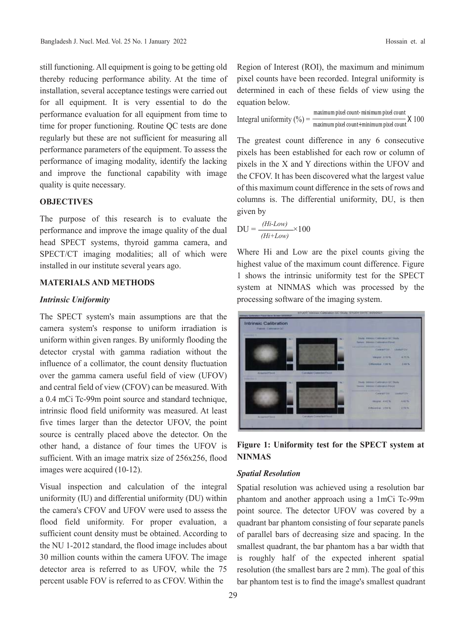still functioning. All equipment is going to be getting old thereby reducing performance ability. At the time of installation, several acceptance testings were carried out for all equipment. It is very essential to do the performance evaluation for all equipment from time to time for proper functioning. Routine QC tests are done regularly but these are not sufficient for measuring all performance parameters of the equipment. To assess the performance of imaging modality, identify the lacking and improve the functional capability with image quality is quite necessary.

#### **OBJECTIVES**

The purpose of this research is to evaluate the performance and improve the image quality of the dual head SPECT systems, thyroid gamma camera, and SPECT/CT imaging modalities; all of which were installed in our institute several years ago.

## **MATERIALS AND METHODS**

#### *Intrinsic Uniformity*

The SPECT system's main assumptions are that the camera system's response to uniform irradiation is uniform within given ranges. By uniformly flooding the detector crystal with gamma radiation without the influence of a collimator, the count density fluctuation over the gamma camera useful field of view (UFOV) and central field of view (CFOV) can be measured. With a 0.4 mCi Tc-99m point source and standard technique, intrinsic flood field uniformity was measured. At least five times larger than the detector UFOV, the point source is centrally placed above the detector. On the other hand, a distance of four times the UFOV is sufficient. With an image matrix size of 256x256, flood images were acquired (10-12).

Visual inspection and calculation of the integral uniformity (IU) and differential uniformity (DU) within the camera's CFOV and UFOV were used to assess the flood field uniformity. For proper evaluation, a sufficient count density must be obtained. According to the NU 1-2012 standard, the flood image includes about 30 million counts within the camera UFOV. The image detector area is referred to as UFOV, while the 75 percent usable FOV is referred to as CFOV. Within the

Region of Interest (ROI), the maximum and minimum pixel counts have been recorded. Integral uniformity is determined in each of these fields of view using the equation below.

Integral uniformity  $(\%) = \frac{\text{maximum pixel count}}{\text{maximum pixel count} + \text{minimum pixel count}} \times 100$ 

The greatest count difference in any 6 consecutive pixels has been established for each row or column of pixels in the X and Y directions within the UFOV and the CFOV. It has been discovered what the largest value of this maximum count difference in the sets of rows and columns is. The differential uniformity, DU, is then given by

$$
DU = \frac{(Hi-Low)}{(Hi+Low)} \times 100
$$

Where Hi and Low are the pixel counts giving the highest value of the maximum count difference. Figure 1 shows the intrinsic uniformity test for the SPECT system at NINMAS which was processed by the processing software of the imaging system.

Intrinsic Calibration

**Figure 1: Uniformity test for the SPECT system at NINMAS**

### *Spatial Resolution*

Spatial resolution was achieved using a resolution bar phantom and another approach using a 1mCi Tc-99m point source. The detector UFOV was covered by a quadrant bar phantom consisting of four separate panels of parallel bars of decreasing size and spacing. In the smallest quadrant, the bar phantom has a bar width that is roughly half of the expected inherent spatial resolution (the smallest bars are 2 mm). The goal of this bar phantom test is to find the image's smallest quadrant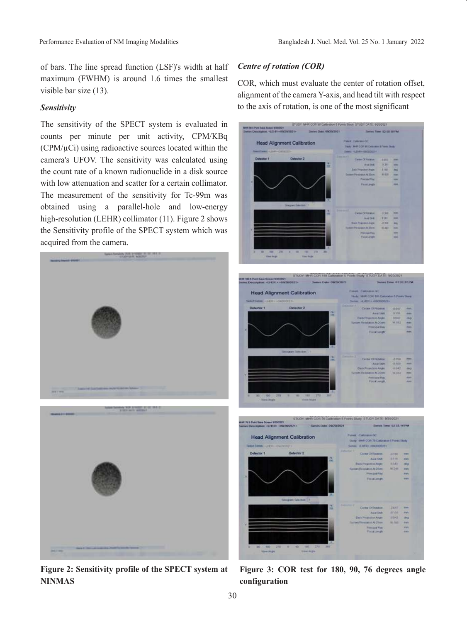of bars. The line spread function (LSF)'s width at half maximum (FWHM) is around 1.6 times the smallest visible bar size (13).

#### *Sensitivity*

The sensitivity of the SPECT system is evaluated in counts per minute per unit activity, CPM/KBq  $(CPM/\mu)$  using radioactive sources located within the camera's UFOV. The sensitivity was calculated using the count rate of a known radionuclide in a disk source with low attenuation and scatter for a certain collimator. The measurement of the sensitivity for Tc-99m was obtained using a parallel-hole and low-energy high-resolution (LEHR) collimator (11). Figure 2 shows the Sensitivity profile of the SPECT system which was acquired from the camera.



**Figure 2: Sensitivity profile of the SPECT system at NINMAS**

## *Centre of rotation (COR)*

COR, which must evaluate the center of rotation offset, alignment of the camera Y-axis, and head tilt with respect to the axis of rotation, is one of the most significant

| Senies Description - LCHIII-- IRCNOSTI L-<br>Sieles Date 09/09/2021<br>Series Tone 10:50 SEPM<br><b>Paint categoride</b><br><b>Head Alignment Calibration</b><br>TAXAY MARI COR PE CANVANN & Flores Divis<br><b>Dent Dente - LO 61-CATATTET</b><br>THE ILLIAN ISSUED<br>Detector 1<br><b>Outsctor 2</b><br><b>Caster Of Hollands</b><br>8.818<br>-<br>Autom<br>531<br><b>HALL</b><br>m<br><b>Sak Huaston Angel</b><br>3.925<br>$\sim$<br>Summer Printers and Stores<br><b>MADE</b><br>$\sim$<br>President<br>$\overline{ }$<br><b>FacetLanger</b><br><b>Hart</b><br>Steph Sactor 11<br><b>CATH OTRAINS</b><br>2,340<br>m<br>m<br><b>Author:</b><br>3,311<br><b>Hara</b><br><b>Bak Repressivings:</b><br>-3,358<br>m<br><b>Det Paul Ave &amp; Tem</b><br>16.847<br>m<br>Phryakfile<br>m<br>Ficalianghi<br>m<br>×<br>1,780, 1280<br>30 30 30 33 34<br>the legs<br><b>Tim link</b><br>ILTUCY: MHIT COR 150 Calibratori S Ponts Study: STUDY DATE: 9/20/2021<br>ent till t.Part finn Simmi 9303021<br>James Description - (LFESI > +09/202021+<br>Senies Date: 09/20/2023<br><b>Series Time: 87.30.22 PM</b><br>Postest Castrology OC<br><b>Head Alignment Calibration</b><br>Study, 14991 CORT FREQUESIVE STORES Study.<br>Select Sales - LINER's +000 EXTER<br>Series =(+401 = +000300021+<br><b>Detector 1</b><br>Detector <sub>2</sub><br>Cerne Of Hitchin<br>0547<br><b>SHO</b><br>Aural Sales<br>13,558<br><b>COLOR</b><br>叫<br><b>Back Projection Angle</b><br>DD42<br>ing<br>Turtown President At 2004.<br><b>M.BEZ</b><br><b>HEL</b><br><b>PHODATION</b><br><b>Prignts</b><br>Precarculate<br>Smogram Sultation 11<br>Come Officialor.<br>2798<br>pos<br>m<br>Anatist<br>改推定<br>m<br><b>Days President Angle</b><br>-2842<br>mo<br>wrote Dates plus AC20 on<br>M RST<br>m<br><b>Pinneyed Stay</b><br>m<br>Focationum.<br>m<br>œ<br>00 (100 270 W. m)<br>$-388$ (272)<br>360<br>٠<br>View <b>Anglie</b><br>View August<br>STUDY: MHR COR 76 Calibration 5 Points Study STUDY DATE: 9/20/2021<br>FOR 75 S Point Same Screen 9/20/2021<br>Senior Time: 02 33.14 PM<br><b>Patent Caltrawn GC</b><br><b>Head Alignment Calibration</b><br>Under MHP COR 76 Calibration S Points Study<br>Select Serbect - UNITS - HINOSOTITY<br>Senior rivers contrative<br><b>Ownector 2</b><br><b>Detector 1</b><br>Come Of Ranger<br>3330<br>mm<br>Aust Shit<br>3116<br>mm<br>m<br><b>Back Projection Ample</b><br>8345<br>this<br>Summy Hunckdron At 20cm<br>NOW<br>em<br><b>Promoted Rake</b><br><b>REFE</b><br>Preacenge<br>mm<br>Silingari Selection 1<br>$-0.02$<br>Come Of Rosane<br>2041<br><b>PORT</b><br>m<br>前方<br><b>Africa</b><br>Assi Shift<br>$-041$<br><b>Elects Projection Angel</b><br><b>MS</b><br>white south in At 20cm<br>91,168<br><b>tres</b><br>wes<br><b>Provided Fire</b><br><b>Field Limites</b><br><b>REST</b> |                                 | STUDY: MHR COR 90 Calibration 5 Points Bludy: STUDY DATE: 9/20/2021 |  |
|-------------------------------------------------------------------------------------------------------------------------------------------------------------------------------------------------------------------------------------------------------------------------------------------------------------------------------------------------------------------------------------------------------------------------------------------------------------------------------------------------------------------------------------------------------------------------------------------------------------------------------------------------------------------------------------------------------------------------------------------------------------------------------------------------------------------------------------------------------------------------------------------------------------------------------------------------------------------------------------------------------------------------------------------------------------------------------------------------------------------------------------------------------------------------------------------------------------------------------------------------------------------------------------------------------------------------------------------------------------------------------------------------------------------------------------------------------------------------------------------------------------------------------------------------------------------------------------------------------------------------------------------------------------------------------------------------------------------------------------------------------------------------------------------------------------------------------------------------------------------------------------------------------------------------------------------------------------------------------------------------------------------------------------------------------------------------------------------------------------------------------------------------------------------------------------------------------------------------------------------------------------------------------------------------------------------------------------------------------------------------------------------------------------------------------------------------------------------------------------------------------------------------------------------------------------------------------------------------------------------------------------------------------------------------------------------------------------------------------------------------------------------------------------------------------------------------------|---------------------------------|---------------------------------------------------------------------|--|
|                                                                                                                                                                                                                                                                                                                                                                                                                                                                                                                                                                                                                                                                                                                                                                                                                                                                                                                                                                                                                                                                                                                                                                                                                                                                                                                                                                                                                                                                                                                                                                                                                                                                                                                                                                                                                                                                                                                                                                                                                                                                                                                                                                                                                                                                                                                                                                                                                                                                                                                                                                                                                                                                                                                                                                                                                               | MOT RCA Pura Sale Romer W202021 |                                                                     |  |
|                                                                                                                                                                                                                                                                                                                                                                                                                                                                                                                                                                                                                                                                                                                                                                                                                                                                                                                                                                                                                                                                                                                                                                                                                                                                                                                                                                                                                                                                                                                                                                                                                                                                                                                                                                                                                                                                                                                                                                                                                                                                                                                                                                                                                                                                                                                                                                                                                                                                                                                                                                                                                                                                                                                                                                                                                               |                                 |                                                                     |  |
|                                                                                                                                                                                                                                                                                                                                                                                                                                                                                                                                                                                                                                                                                                                                                                                                                                                                                                                                                                                                                                                                                                                                                                                                                                                                                                                                                                                                                                                                                                                                                                                                                                                                                                                                                                                                                                                                                                                                                                                                                                                                                                                                                                                                                                                                                                                                                                                                                                                                                                                                                                                                                                                                                                                                                                                                                               |                                 |                                                                     |  |
|                                                                                                                                                                                                                                                                                                                                                                                                                                                                                                                                                                                                                                                                                                                                                                                                                                                                                                                                                                                                                                                                                                                                                                                                                                                                                                                                                                                                                                                                                                                                                                                                                                                                                                                                                                                                                                                                                                                                                                                                                                                                                                                                                                                                                                                                                                                                                                                                                                                                                                                                                                                                                                                                                                                                                                                                                               |                                 |                                                                     |  |
|                                                                                                                                                                                                                                                                                                                                                                                                                                                                                                                                                                                                                                                                                                                                                                                                                                                                                                                                                                                                                                                                                                                                                                                                                                                                                                                                                                                                                                                                                                                                                                                                                                                                                                                                                                                                                                                                                                                                                                                                                                                                                                                                                                                                                                                                                                                                                                                                                                                                                                                                                                                                                                                                                                                                                                                                                               |                                 |                                                                     |  |
|                                                                                                                                                                                                                                                                                                                                                                                                                                                                                                                                                                                                                                                                                                                                                                                                                                                                                                                                                                                                                                                                                                                                                                                                                                                                                                                                                                                                                                                                                                                                                                                                                                                                                                                                                                                                                                                                                                                                                                                                                                                                                                                                                                                                                                                                                                                                                                                                                                                                                                                                                                                                                                                                                                                                                                                                                               |                                 |                                                                     |  |
|                                                                                                                                                                                                                                                                                                                                                                                                                                                                                                                                                                                                                                                                                                                                                                                                                                                                                                                                                                                                                                                                                                                                                                                                                                                                                                                                                                                                                                                                                                                                                                                                                                                                                                                                                                                                                                                                                                                                                                                                                                                                                                                                                                                                                                                                                                                                                                                                                                                                                                                                                                                                                                                                                                                                                                                                                               |                                 |                                                                     |  |
|                                                                                                                                                                                                                                                                                                                                                                                                                                                                                                                                                                                                                                                                                                                                                                                                                                                                                                                                                                                                                                                                                                                                                                                                                                                                                                                                                                                                                                                                                                                                                                                                                                                                                                                                                                                                                                                                                                                                                                                                                                                                                                                                                                                                                                                                                                                                                                                                                                                                                                                                                                                                                                                                                                                                                                                                                               |                                 |                                                                     |  |
|                                                                                                                                                                                                                                                                                                                                                                                                                                                                                                                                                                                                                                                                                                                                                                                                                                                                                                                                                                                                                                                                                                                                                                                                                                                                                                                                                                                                                                                                                                                                                                                                                                                                                                                                                                                                                                                                                                                                                                                                                                                                                                                                                                                                                                                                                                                                                                                                                                                                                                                                                                                                                                                                                                                                                                                                                               |                                 |                                                                     |  |
|                                                                                                                                                                                                                                                                                                                                                                                                                                                                                                                                                                                                                                                                                                                                                                                                                                                                                                                                                                                                                                                                                                                                                                                                                                                                                                                                                                                                                                                                                                                                                                                                                                                                                                                                                                                                                                                                                                                                                                                                                                                                                                                                                                                                                                                                                                                                                                                                                                                                                                                                                                                                                                                                                                                                                                                                                               |                                 |                                                                     |  |
|                                                                                                                                                                                                                                                                                                                                                                                                                                                                                                                                                                                                                                                                                                                                                                                                                                                                                                                                                                                                                                                                                                                                                                                                                                                                                                                                                                                                                                                                                                                                                                                                                                                                                                                                                                                                                                                                                                                                                                                                                                                                                                                                                                                                                                                                                                                                                                                                                                                                                                                                                                                                                                                                                                                                                                                                                               |                                 |                                                                     |  |
|                                                                                                                                                                                                                                                                                                                                                                                                                                                                                                                                                                                                                                                                                                                                                                                                                                                                                                                                                                                                                                                                                                                                                                                                                                                                                                                                                                                                                                                                                                                                                                                                                                                                                                                                                                                                                                                                                                                                                                                                                                                                                                                                                                                                                                                                                                                                                                                                                                                                                                                                                                                                                                                                                                                                                                                                                               |                                 |                                                                     |  |
|                                                                                                                                                                                                                                                                                                                                                                                                                                                                                                                                                                                                                                                                                                                                                                                                                                                                                                                                                                                                                                                                                                                                                                                                                                                                                                                                                                                                                                                                                                                                                                                                                                                                                                                                                                                                                                                                                                                                                                                                                                                                                                                                                                                                                                                                                                                                                                                                                                                                                                                                                                                                                                                                                                                                                                                                                               |                                 |                                                                     |  |
|                                                                                                                                                                                                                                                                                                                                                                                                                                                                                                                                                                                                                                                                                                                                                                                                                                                                                                                                                                                                                                                                                                                                                                                                                                                                                                                                                                                                                                                                                                                                                                                                                                                                                                                                                                                                                                                                                                                                                                                                                                                                                                                                                                                                                                                                                                                                                                                                                                                                                                                                                                                                                                                                                                                                                                                                                               |                                 |                                                                     |  |
|                                                                                                                                                                                                                                                                                                                                                                                                                                                                                                                                                                                                                                                                                                                                                                                                                                                                                                                                                                                                                                                                                                                                                                                                                                                                                                                                                                                                                                                                                                                                                                                                                                                                                                                                                                                                                                                                                                                                                                                                                                                                                                                                                                                                                                                                                                                                                                                                                                                                                                                                                                                                                                                                                                                                                                                                                               |                                 |                                                                     |  |
|                                                                                                                                                                                                                                                                                                                                                                                                                                                                                                                                                                                                                                                                                                                                                                                                                                                                                                                                                                                                                                                                                                                                                                                                                                                                                                                                                                                                                                                                                                                                                                                                                                                                                                                                                                                                                                                                                                                                                                                                                                                                                                                                                                                                                                                                                                                                                                                                                                                                                                                                                                                                                                                                                                                                                                                                                               |                                 |                                                                     |  |
|                                                                                                                                                                                                                                                                                                                                                                                                                                                                                                                                                                                                                                                                                                                                                                                                                                                                                                                                                                                                                                                                                                                                                                                                                                                                                                                                                                                                                                                                                                                                                                                                                                                                                                                                                                                                                                                                                                                                                                                                                                                                                                                                                                                                                                                                                                                                                                                                                                                                                                                                                                                                                                                                                                                                                                                                                               |                                 |                                                                     |  |
|                                                                                                                                                                                                                                                                                                                                                                                                                                                                                                                                                                                                                                                                                                                                                                                                                                                                                                                                                                                                                                                                                                                                                                                                                                                                                                                                                                                                                                                                                                                                                                                                                                                                                                                                                                                                                                                                                                                                                                                                                                                                                                                                                                                                                                                                                                                                                                                                                                                                                                                                                                                                                                                                                                                                                                                                                               |                                 |                                                                     |  |
|                                                                                                                                                                                                                                                                                                                                                                                                                                                                                                                                                                                                                                                                                                                                                                                                                                                                                                                                                                                                                                                                                                                                                                                                                                                                                                                                                                                                                                                                                                                                                                                                                                                                                                                                                                                                                                                                                                                                                                                                                                                                                                                                                                                                                                                                                                                                                                                                                                                                                                                                                                                                                                                                                                                                                                                                                               |                                 |                                                                     |  |
|                                                                                                                                                                                                                                                                                                                                                                                                                                                                                                                                                                                                                                                                                                                                                                                                                                                                                                                                                                                                                                                                                                                                                                                                                                                                                                                                                                                                                                                                                                                                                                                                                                                                                                                                                                                                                                                                                                                                                                                                                                                                                                                                                                                                                                                                                                                                                                                                                                                                                                                                                                                                                                                                                                                                                                                                                               |                                 |                                                                     |  |
|                                                                                                                                                                                                                                                                                                                                                                                                                                                                                                                                                                                                                                                                                                                                                                                                                                                                                                                                                                                                                                                                                                                                                                                                                                                                                                                                                                                                                                                                                                                                                                                                                                                                                                                                                                                                                                                                                                                                                                                                                                                                                                                                                                                                                                                                                                                                                                                                                                                                                                                                                                                                                                                                                                                                                                                                                               |                                 |                                                                     |  |
|                                                                                                                                                                                                                                                                                                                                                                                                                                                                                                                                                                                                                                                                                                                                                                                                                                                                                                                                                                                                                                                                                                                                                                                                                                                                                                                                                                                                                                                                                                                                                                                                                                                                                                                                                                                                                                                                                                                                                                                                                                                                                                                                                                                                                                                                                                                                                                                                                                                                                                                                                                                                                                                                                                                                                                                                                               |                                 |                                                                     |  |
|                                                                                                                                                                                                                                                                                                                                                                                                                                                                                                                                                                                                                                                                                                                                                                                                                                                                                                                                                                                                                                                                                                                                                                                                                                                                                                                                                                                                                                                                                                                                                                                                                                                                                                                                                                                                                                                                                                                                                                                                                                                                                                                                                                                                                                                                                                                                                                                                                                                                                                                                                                                                                                                                                                                                                                                                                               |                                 |                                                                     |  |
|                                                                                                                                                                                                                                                                                                                                                                                                                                                                                                                                                                                                                                                                                                                                                                                                                                                                                                                                                                                                                                                                                                                                                                                                                                                                                                                                                                                                                                                                                                                                                                                                                                                                                                                                                                                                                                                                                                                                                                                                                                                                                                                                                                                                                                                                                                                                                                                                                                                                                                                                                                                                                                                                                                                                                                                                                               |                                 |                                                                     |  |
|                                                                                                                                                                                                                                                                                                                                                                                                                                                                                                                                                                                                                                                                                                                                                                                                                                                                                                                                                                                                                                                                                                                                                                                                                                                                                                                                                                                                                                                                                                                                                                                                                                                                                                                                                                                                                                                                                                                                                                                                                                                                                                                                                                                                                                                                                                                                                                                                                                                                                                                                                                                                                                                                                                                                                                                                                               |                                 |                                                                     |  |
|                                                                                                                                                                                                                                                                                                                                                                                                                                                                                                                                                                                                                                                                                                                                                                                                                                                                                                                                                                                                                                                                                                                                                                                                                                                                                                                                                                                                                                                                                                                                                                                                                                                                                                                                                                                                                                                                                                                                                                                                                                                                                                                                                                                                                                                                                                                                                                                                                                                                                                                                                                                                                                                                                                                                                                                                                               |                                 |                                                                     |  |
|                                                                                                                                                                                                                                                                                                                                                                                                                                                                                                                                                                                                                                                                                                                                                                                                                                                                                                                                                                                                                                                                                                                                                                                                                                                                                                                                                                                                                                                                                                                                                                                                                                                                                                                                                                                                                                                                                                                                                                                                                                                                                                                                                                                                                                                                                                                                                                                                                                                                                                                                                                                                                                                                                                                                                                                                                               |                                 |                                                                     |  |
|                                                                                                                                                                                                                                                                                                                                                                                                                                                                                                                                                                                                                                                                                                                                                                                                                                                                                                                                                                                                                                                                                                                                                                                                                                                                                                                                                                                                                                                                                                                                                                                                                                                                                                                                                                                                                                                                                                                                                                                                                                                                                                                                                                                                                                                                                                                                                                                                                                                                                                                                                                                                                                                                                                                                                                                                                               |                                 |                                                                     |  |
|                                                                                                                                                                                                                                                                                                                                                                                                                                                                                                                                                                                                                                                                                                                                                                                                                                                                                                                                                                                                                                                                                                                                                                                                                                                                                                                                                                                                                                                                                                                                                                                                                                                                                                                                                                                                                                                                                                                                                                                                                                                                                                                                                                                                                                                                                                                                                                                                                                                                                                                                                                                                                                                                                                                                                                                                                               |                                 |                                                                     |  |
|                                                                                                                                                                                                                                                                                                                                                                                                                                                                                                                                                                                                                                                                                                                                                                                                                                                                                                                                                                                                                                                                                                                                                                                                                                                                                                                                                                                                                                                                                                                                                                                                                                                                                                                                                                                                                                                                                                                                                                                                                                                                                                                                                                                                                                                                                                                                                                                                                                                                                                                                                                                                                                                                                                                                                                                                                               |                                 |                                                                     |  |
|                                                                                                                                                                                                                                                                                                                                                                                                                                                                                                                                                                                                                                                                                                                                                                                                                                                                                                                                                                                                                                                                                                                                                                                                                                                                                                                                                                                                                                                                                                                                                                                                                                                                                                                                                                                                                                                                                                                                                                                                                                                                                                                                                                                                                                                                                                                                                                                                                                                                                                                                                                                                                                                                                                                                                                                                                               |                                 |                                                                     |  |
|                                                                                                                                                                                                                                                                                                                                                                                                                                                                                                                                                                                                                                                                                                                                                                                                                                                                                                                                                                                                                                                                                                                                                                                                                                                                                                                                                                                                                                                                                                                                                                                                                                                                                                                                                                                                                                                                                                                                                                                                                                                                                                                                                                                                                                                                                                                                                                                                                                                                                                                                                                                                                                                                                                                                                                                                                               |                                 |                                                                     |  |
|                                                                                                                                                                                                                                                                                                                                                                                                                                                                                                                                                                                                                                                                                                                                                                                                                                                                                                                                                                                                                                                                                                                                                                                                                                                                                                                                                                                                                                                                                                                                                                                                                                                                                                                                                                                                                                                                                                                                                                                                                                                                                                                                                                                                                                                                                                                                                                                                                                                                                                                                                                                                                                                                                                                                                                                                                               |                                 |                                                                     |  |
|                                                                                                                                                                                                                                                                                                                                                                                                                                                                                                                                                                                                                                                                                                                                                                                                                                                                                                                                                                                                                                                                                                                                                                                                                                                                                                                                                                                                                                                                                                                                                                                                                                                                                                                                                                                                                                                                                                                                                                                                                                                                                                                                                                                                                                                                                                                                                                                                                                                                                                                                                                                                                                                                                                                                                                                                                               |                                 |                                                                     |  |
|                                                                                                                                                                                                                                                                                                                                                                                                                                                                                                                                                                                                                                                                                                                                                                                                                                                                                                                                                                                                                                                                                                                                                                                                                                                                                                                                                                                                                                                                                                                                                                                                                                                                                                                                                                                                                                                                                                                                                                                                                                                                                                                                                                                                                                                                                                                                                                                                                                                                                                                                                                                                                                                                                                                                                                                                                               |                                 |                                                                     |  |
|                                                                                                                                                                                                                                                                                                                                                                                                                                                                                                                                                                                                                                                                                                                                                                                                                                                                                                                                                                                                                                                                                                                                                                                                                                                                                                                                                                                                                                                                                                                                                                                                                                                                                                                                                                                                                                                                                                                                                                                                                                                                                                                                                                                                                                                                                                                                                                                                                                                                                                                                                                                                                                                                                                                                                                                                                               |                                 |                                                                     |  |
|                                                                                                                                                                                                                                                                                                                                                                                                                                                                                                                                                                                                                                                                                                                                                                                                                                                                                                                                                                                                                                                                                                                                                                                                                                                                                                                                                                                                                                                                                                                                                                                                                                                                                                                                                                                                                                                                                                                                                                                                                                                                                                                                                                                                                                                                                                                                                                                                                                                                                                                                                                                                                                                                                                                                                                                                                               |                                 |                                                                     |  |
|                                                                                                                                                                                                                                                                                                                                                                                                                                                                                                                                                                                                                                                                                                                                                                                                                                                                                                                                                                                                                                                                                                                                                                                                                                                                                                                                                                                                                                                                                                                                                                                                                                                                                                                                                                                                                                                                                                                                                                                                                                                                                                                                                                                                                                                                                                                                                                                                                                                                                                                                                                                                                                                                                                                                                                                                                               |                                 |                                                                     |  |
|                                                                                                                                                                                                                                                                                                                                                                                                                                                                                                                                                                                                                                                                                                                                                                                                                                                                                                                                                                                                                                                                                                                                                                                                                                                                                                                                                                                                                                                                                                                                                                                                                                                                                                                                                                                                                                                                                                                                                                                                                                                                                                                                                                                                                                                                                                                                                                                                                                                                                                                                                                                                                                                                                                                                                                                                                               |                                 |                                                                     |  |
|                                                                                                                                                                                                                                                                                                                                                                                                                                                                                                                                                                                                                                                                                                                                                                                                                                                                                                                                                                                                                                                                                                                                                                                                                                                                                                                                                                                                                                                                                                                                                                                                                                                                                                                                                                                                                                                                                                                                                                                                                                                                                                                                                                                                                                                                                                                                                                                                                                                                                                                                                                                                                                                                                                                                                                                                                               |                                 |                                                                     |  |
|                                                                                                                                                                                                                                                                                                                                                                                                                                                                                                                                                                                                                                                                                                                                                                                                                                                                                                                                                                                                                                                                                                                                                                                                                                                                                                                                                                                                                                                                                                                                                                                                                                                                                                                                                                                                                                                                                                                                                                                                                                                                                                                                                                                                                                                                                                                                                                                                                                                                                                                                                                                                                                                                                                                                                                                                                               |                                 |                                                                     |  |
|                                                                                                                                                                                                                                                                                                                                                                                                                                                                                                                                                                                                                                                                                                                                                                                                                                                                                                                                                                                                                                                                                                                                                                                                                                                                                                                                                                                                                                                                                                                                                                                                                                                                                                                                                                                                                                                                                                                                                                                                                                                                                                                                                                                                                                                                                                                                                                                                                                                                                                                                                                                                                                                                                                                                                                                                                               |                                 |                                                                     |  |
|                                                                                                                                                                                                                                                                                                                                                                                                                                                                                                                                                                                                                                                                                                                                                                                                                                                                                                                                                                                                                                                                                                                                                                                                                                                                                                                                                                                                                                                                                                                                                                                                                                                                                                                                                                                                                                                                                                                                                                                                                                                                                                                                                                                                                                                                                                                                                                                                                                                                                                                                                                                                                                                                                                                                                                                                                               |                                 |                                                                     |  |
|                                                                                                                                                                                                                                                                                                                                                                                                                                                                                                                                                                                                                                                                                                                                                                                                                                                                                                                                                                                                                                                                                                                                                                                                                                                                                                                                                                                                                                                                                                                                                                                                                                                                                                                                                                                                                                                                                                                                                                                                                                                                                                                                                                                                                                                                                                                                                                                                                                                                                                                                                                                                                                                                                                                                                                                                                               |                                 |                                                                     |  |
|                                                                                                                                                                                                                                                                                                                                                                                                                                                                                                                                                                                                                                                                                                                                                                                                                                                                                                                                                                                                                                                                                                                                                                                                                                                                                                                                                                                                                                                                                                                                                                                                                                                                                                                                                                                                                                                                                                                                                                                                                                                                                                                                                                                                                                                                                                                                                                                                                                                                                                                                                                                                                                                                                                                                                                                                                               |                                 |                                                                     |  |
|                                                                                                                                                                                                                                                                                                                                                                                                                                                                                                                                                                                                                                                                                                                                                                                                                                                                                                                                                                                                                                                                                                                                                                                                                                                                                                                                                                                                                                                                                                                                                                                                                                                                                                                                                                                                                                                                                                                                                                                                                                                                                                                                                                                                                                                                                                                                                                                                                                                                                                                                                                                                                                                                                                                                                                                                                               |                                 |                                                                     |  |
|                                                                                                                                                                                                                                                                                                                                                                                                                                                                                                                                                                                                                                                                                                                                                                                                                                                                                                                                                                                                                                                                                                                                                                                                                                                                                                                                                                                                                                                                                                                                                                                                                                                                                                                                                                                                                                                                                                                                                                                                                                                                                                                                                                                                                                                                                                                                                                                                                                                                                                                                                                                                                                                                                                                                                                                                                               |                                 |                                                                     |  |
|                                                                                                                                                                                                                                                                                                                                                                                                                                                                                                                                                                                                                                                                                                                                                                                                                                                                                                                                                                                                                                                                                                                                                                                                                                                                                                                                                                                                                                                                                                                                                                                                                                                                                                                                                                                                                                                                                                                                                                                                                                                                                                                                                                                                                                                                                                                                                                                                                                                                                                                                                                                                                                                                                                                                                                                                                               |                                 |                                                                     |  |
|                                                                                                                                                                                                                                                                                                                                                                                                                                                                                                                                                                                                                                                                                                                                                                                                                                                                                                                                                                                                                                                                                                                                                                                                                                                                                                                                                                                                                                                                                                                                                                                                                                                                                                                                                                                                                                                                                                                                                                                                                                                                                                                                                                                                                                                                                                                                                                                                                                                                                                                                                                                                                                                                                                                                                                                                                               |                                 |                                                                     |  |
|                                                                                                                                                                                                                                                                                                                                                                                                                                                                                                                                                                                                                                                                                                                                                                                                                                                                                                                                                                                                                                                                                                                                                                                                                                                                                                                                                                                                                                                                                                                                                                                                                                                                                                                                                                                                                                                                                                                                                                                                                                                                                                                                                                                                                                                                                                                                                                                                                                                                                                                                                                                                                                                                                                                                                                                                                               |                                 |                                                                     |  |
|                                                                                                                                                                                                                                                                                                                                                                                                                                                                                                                                                                                                                                                                                                                                                                                                                                                                                                                                                                                                                                                                                                                                                                                                                                                                                                                                                                                                                                                                                                                                                                                                                                                                                                                                                                                                                                                                                                                                                                                                                                                                                                                                                                                                                                                                                                                                                                                                                                                                                                                                                                                                                                                                                                                                                                                                                               |                                 |                                                                     |  |
|                                                                                                                                                                                                                                                                                                                                                                                                                                                                                                                                                                                                                                                                                                                                                                                                                                                                                                                                                                                                                                                                                                                                                                                                                                                                                                                                                                                                                                                                                                                                                                                                                                                                                                                                                                                                                                                                                                                                                                                                                                                                                                                                                                                                                                                                                                                                                                                                                                                                                                                                                                                                                                                                                                                                                                                                                               |                                 |                                                                     |  |
|                                                                                                                                                                                                                                                                                                                                                                                                                                                                                                                                                                                                                                                                                                                                                                                                                                                                                                                                                                                                                                                                                                                                                                                                                                                                                                                                                                                                                                                                                                                                                                                                                                                                                                                                                                                                                                                                                                                                                                                                                                                                                                                                                                                                                                                                                                                                                                                                                                                                                                                                                                                                                                                                                                                                                                                                                               |                                 |                                                                     |  |
|                                                                                                                                                                                                                                                                                                                                                                                                                                                                                                                                                                                                                                                                                                                                                                                                                                                                                                                                                                                                                                                                                                                                                                                                                                                                                                                                                                                                                                                                                                                                                                                                                                                                                                                                                                                                                                                                                                                                                                                                                                                                                                                                                                                                                                                                                                                                                                                                                                                                                                                                                                                                                                                                                                                                                                                                                               |                                 |                                                                     |  |
|                                                                                                                                                                                                                                                                                                                                                                                                                                                                                                                                                                                                                                                                                                                                                                                                                                                                                                                                                                                                                                                                                                                                                                                                                                                                                                                                                                                                                                                                                                                                                                                                                                                                                                                                                                                                                                                                                                                                                                                                                                                                                                                                                                                                                                                                                                                                                                                                                                                                                                                                                                                                                                                                                                                                                                                                                               |                                 |                                                                     |  |
|                                                                                                                                                                                                                                                                                                                                                                                                                                                                                                                                                                                                                                                                                                                                                                                                                                                                                                                                                                                                                                                                                                                                                                                                                                                                                                                                                                                                                                                                                                                                                                                                                                                                                                                                                                                                                                                                                                                                                                                                                                                                                                                                                                                                                                                                                                                                                                                                                                                                                                                                                                                                                                                                                                                                                                                                                               |                                 |                                                                     |  |
|                                                                                                                                                                                                                                                                                                                                                                                                                                                                                                                                                                                                                                                                                                                                                                                                                                                                                                                                                                                                                                                                                                                                                                                                                                                                                                                                                                                                                                                                                                                                                                                                                                                                                                                                                                                                                                                                                                                                                                                                                                                                                                                                                                                                                                                                                                                                                                                                                                                                                                                                                                                                                                                                                                                                                                                                                               |                                 |                                                                     |  |
|                                                                                                                                                                                                                                                                                                                                                                                                                                                                                                                                                                                                                                                                                                                                                                                                                                                                                                                                                                                                                                                                                                                                                                                                                                                                                                                                                                                                                                                                                                                                                                                                                                                                                                                                                                                                                                                                                                                                                                                                                                                                                                                                                                                                                                                                                                                                                                                                                                                                                                                                                                                                                                                                                                                                                                                                                               |                                 |                                                                     |  |
|                                                                                                                                                                                                                                                                                                                                                                                                                                                                                                                                                                                                                                                                                                                                                                                                                                                                                                                                                                                                                                                                                                                                                                                                                                                                                                                                                                                                                                                                                                                                                                                                                                                                                                                                                                                                                                                                                                                                                                                                                                                                                                                                                                                                                                                                                                                                                                                                                                                                                                                                                                                                                                                                                                                                                                                                                               |                                 |                                                                     |  |
|                                                                                                                                                                                                                                                                                                                                                                                                                                                                                                                                                                                                                                                                                                                                                                                                                                                                                                                                                                                                                                                                                                                                                                                                                                                                                                                                                                                                                                                                                                                                                                                                                                                                                                                                                                                                                                                                                                                                                                                                                                                                                                                                                                                                                                                                                                                                                                                                                                                                                                                                                                                                                                                                                                                                                                                                                               |                                 |                                                                     |  |
|                                                                                                                                                                                                                                                                                                                                                                                                                                                                                                                                                                                                                                                                                                                                                                                                                                                                                                                                                                                                                                                                                                                                                                                                                                                                                                                                                                                                                                                                                                                                                                                                                                                                                                                                                                                                                                                                                                                                                                                                                                                                                                                                                                                                                                                                                                                                                                                                                                                                                                                                                                                                                                                                                                                                                                                                                               |                                 |                                                                     |  |
|                                                                                                                                                                                                                                                                                                                                                                                                                                                                                                                                                                                                                                                                                                                                                                                                                                                                                                                                                                                                                                                                                                                                                                                                                                                                                                                                                                                                                                                                                                                                                                                                                                                                                                                                                                                                                                                                                                                                                                                                                                                                                                                                                                                                                                                                                                                                                                                                                                                                                                                                                                                                                                                                                                                                                                                                                               |                                 |                                                                     |  |
|                                                                                                                                                                                                                                                                                                                                                                                                                                                                                                                                                                                                                                                                                                                                                                                                                                                                                                                                                                                                                                                                                                                                                                                                                                                                                                                                                                                                                                                                                                                                                                                                                                                                                                                                                                                                                                                                                                                                                                                                                                                                                                                                                                                                                                                                                                                                                                                                                                                                                                                                                                                                                                                                                                                                                                                                                               |                                 |                                                                     |  |
|                                                                                                                                                                                                                                                                                                                                                                                                                                                                                                                                                                                                                                                                                                                                                                                                                                                                                                                                                                                                                                                                                                                                                                                                                                                                                                                                                                                                                                                                                                                                                                                                                                                                                                                                                                                                                                                                                                                                                                                                                                                                                                                                                                                                                                                                                                                                                                                                                                                                                                                                                                                                                                                                                                                                                                                                                               |                                 |                                                                     |  |
|                                                                                                                                                                                                                                                                                                                                                                                                                                                                                                                                                                                                                                                                                                                                                                                                                                                                                                                                                                                                                                                                                                                                                                                                                                                                                                                                                                                                                                                                                                                                                                                                                                                                                                                                                                                                                                                                                                                                                                                                                                                                                                                                                                                                                                                                                                                                                                                                                                                                                                                                                                                                                                                                                                                                                                                                                               |                                 |                                                                     |  |

**Figure 3: COR test for 180, 90, 76 degrees angle configuration**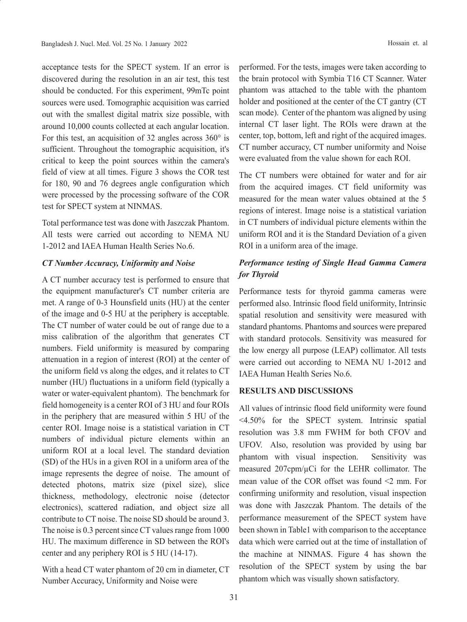acceptance tests for the SPECT system. If an error is discovered during the resolution in an air test, this test should be conducted. For this experiment, 99mTc point sources were used. Tomographic acquisition was carried out with the smallest digital matrix size possible, with around 10,000 counts collected at each angular location. For this test, an acquisition of 32 angles across 360° is sufficient. Throughout the tomographic acquisition, it's critical to keep the point sources within the camera's field of view at all times. Figure 3 shows the COR test for 180, 90 and 76 degrees angle configuration which were processed by the processing software of the COR test for SPECT system at NINMAS.

Total performance test was done with Jaszczak Phantom. All tests were carried out according to NEMA NU 1-2012 and IAEA Human Health Series No.6.

### *CT Number Accuracy, Uniformity and Noise*

A CT number accuracy test is performed to ensure that the equipment manufacturer's CT number criteria are met. A range of 0-3 Hounsfield units (HU) at the center of the image and 0-5 HU at the periphery is acceptable. The CT number of water could be out of range due to a miss calibration of the algorithm that generates CT numbers. Field uniformity is measured by comparing attenuation in a region of interest (ROI) at the center of the uniform field vs along the edges, and it relates to CT number (HU) fluctuations in a uniform field (typically a water or water-equivalent phantom). The benchmark for field homogeneity is a center ROI of 3 HU and four ROIs in the periphery that are measured within 5 HU of the center ROI. Image noise is a statistical variation in CT numbers of individual picture elements within an uniform ROI at a local level. The standard deviation (SD) of the HUs in a given ROI in a uniform area of the image represents the degree of noise. The amount of detected photons, matrix size (pixel size), slice thickness, methodology, electronic noise (detector electronics), scattered radiation, and object size all contribute to CT noise. The noise SD should be around 3. The noise is 0.3 percent since CT values range from 1000 HU. The maximum difference in SD between the ROI's center and any periphery ROI is 5 HU (14-17).

With a head CT water phantom of 20 cm in diameter, CT Number Accuracy, Uniformity and Noise were

performed. For the tests, images were taken according to the brain protocol with Symbia T16 CT Scanner. Water phantom was attached to the table with the phantom holder and positioned at the center of the CT gantry (CT scan mode). Center of the phantom was aligned by using internal CT laser light. The ROIs were drawn at the center, top, bottom, left and right of the acquired images. CT number accuracy, CT number uniformity and Noise were evaluated from the value shown for each ROI.

The CT numbers were obtained for water and for air from the acquired images. CT field uniformity was measured for the mean water values obtained at the 5 regions of interest. Image noise is a statistical variation in CT numbers of individual picture elements within the uniform ROI and it is the Standard Deviation of a given ROI in a uniform area of the image.

# *Performance testing of Single Head Gamma Camera for Thyroid*

Performance tests for thyroid gamma cameras were performed also. Intrinsic flood field uniformity, Intrinsic spatial resolution and sensitivity were measured with standard phantoms. Phantoms and sources were prepared with standard protocols. Sensitivity was measured for the low energy all purpose (LEAP) collimator. All tests were carried out according to NEMA NU 1-2012 and IAEA Human Health Series No.6.

#### **RESULTS AND DISCUSSIONS**

All values of intrinsic flood field uniformity were found <4.50% for the SPECT system. Intrinsic spatial resolution was 3.8 mm FWHM for both CFOV and UFOV. Also, resolution was provided by using bar phantom with visual inspection. Sensitivity was measured 207cpm/µCi for the LEHR collimator. The mean value of the COR offset was found <2 mm. For confirming uniformity and resolution, visual inspection was done with Jaszczak Phantom. The details of the performance measurement of the SPECT system have been shown in Table1 with comparison to the acceptance data which were carried out at the time of installation of the machine at NINMAS. Figure 4 has shown the resolution of the SPECT system by using the bar phantom which was visually shown satisfactory.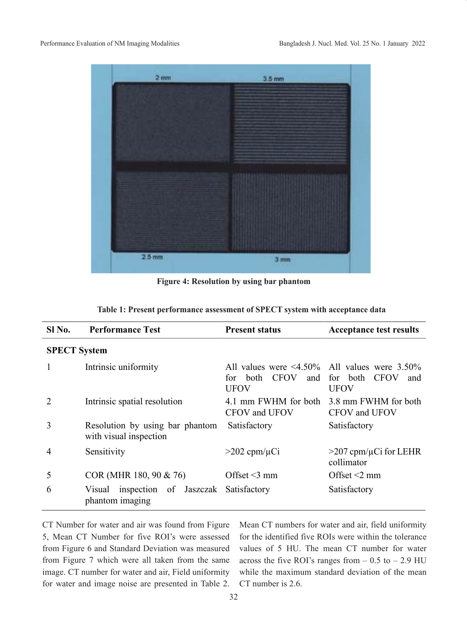

**Figure 4: Resolution by using bar phantom**

| Table 1: Present performance assessment of SPECT system with acceptance data |  |
|------------------------------------------------------------------------------|--|
|------------------------------------------------------------------------------|--|

| SI No.              | <b>Performance Test</b>                                   | <b>Present status</b>                                                                      | <b>Acceptance test results</b>              |  |
|---------------------|-----------------------------------------------------------|--------------------------------------------------------------------------------------------|---------------------------------------------|--|
| <b>SPECT System</b> |                                                           |                                                                                            |                                             |  |
| 1                   | Intrinsic uniformity                                      | All values were $\leq 4.50\%$ All values were 3.50%<br>for both CFOV<br>and<br><b>UFOV</b> | for both CFOV<br>and<br><b>UFOV</b>         |  |
| 2                   | Intrinsic spatial resolution                              | 4.1 mm FWHM for both<br>CFOV and UFOV                                                      | 3.8 mm FWHM for both<br>CFOV and UFOV       |  |
| 3                   | Resolution by using bar phantom<br>with visual inspection | Satisfactory                                                                               | Satisfactory                                |  |
| $\overline{4}$      | Sensitivity                                               | $>202$ cpm/ $\mu$ Ci                                                                       | $>207$ cpm/ $\mu$ Ci for LEHR<br>collimator |  |
| 5                   | $COR$ (MHR 180, 90 & 76)                                  | Offset $\leq$ 3 mm                                                                         | Offset $\leq 2$ mm                          |  |
| 6                   | Visual inspection of Jaszczak<br>phantom imaging          | Satisfactory                                                                               | Satisfactory                                |  |

CT Number for water and air was found from Figure 5, Mean CT Number for five ROI's were assessed from Figure 6 and Standard Deviation was measured from Figure 7 which were all taken from the same image. CT number for water and air, Field uniformity for water and image noise are presented in Table 2. Mean CT numbers for water and air, field uniformity for the identified five ROIs were within the tolerance values of 5 HU. The mean CT number for water across the five ROI's ranges from  $-0.5$  to  $-2.9$  HU while the maximum standard deviation of the mean CT number is 2.6.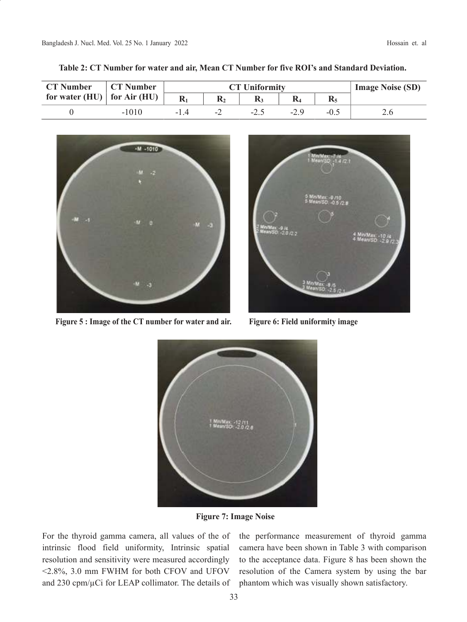| <b>CT Number</b>                    | <b>CT Number</b> | <b>CT Uniformity</b> |                          |      |      | <b>Image Noise (SD)</b> |     |
|-------------------------------------|------------------|----------------------|--------------------------|------|------|-------------------------|-----|
| for water (HU) $\vert$ for Air (HU) |                  |                      |                          |      |      |                         |     |
|                                     | $-1010$          | -14                  | $\overline{\phantom{0}}$ | -2.1 | -2.9 | $-0.5$                  | 2.6 |

**Table 2: CT Number for water and air, Mean CT Number for five ROI's and Standard Deviation.** 



**Figure 5 : Image of the CT number for water and air. Figure 6: Field uniformity image**





**Figure 7: Image Noise**

For the thyroid gamma camera, all values of the of intrinsic flood field uniformity, Intrinsic spatial resolution and sensitivity were measured accordingly <2.8%, 3.0 mm FWHM for both CFOV and UFOV and 230 cpm/µCi for LEAP collimator. The details of the performance measurement of thyroid gamma camera have been shown in Table 3 with comparison to the acceptance data. Figure 8 has been shown the resolution of the Camera system by using the bar phantom which was visually shown satisfactory.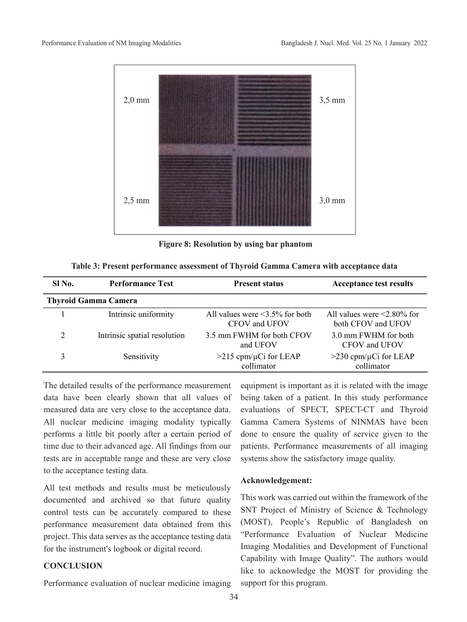

**Figure 8: Resolution by using bar phantom**

**Table 3: Present performance assessment of Thyroid Gamma Camera with acceptance data** 

| Sl No.                      | <b>Performance Test</b>      | <b>Present status</b>                                 | <b>Acceptance test results</b>                          |  |  |  |
|-----------------------------|------------------------------|-------------------------------------------------------|---------------------------------------------------------|--|--|--|
| <b>Thyroid Gamma Camera</b> |                              |                                                       |                                                         |  |  |  |
|                             | Intrinsic uniformity         | All values were $\leq$ 3.5% for both<br>CFOV and UFOV | All values were $\leq 2.80\%$ for<br>both CFOV and UFOV |  |  |  |
| $\overline{2}$              | Intrinsic spatial resolution | 3.5 mm FWHM for both CFOV<br>and UFOV                 | 3.0 mm FWHM for both<br>CFOV and UFOV                   |  |  |  |
|                             | Sensitivity                  | $>215$ cpm/ $\mu$ Ci for LEAP<br>collimator           | $>230$ cpm/ $\mu$ Ci for LEAP<br>collimator             |  |  |  |

The detailed results of the performance measurement data have been clearly shown that all values of measured data are very close to the acceptance data. All nuclear medicine imaging modality typically performs a little bit poorly after a certain period of time due to their advanced age. All findings from our tests are in acceptable range and these are very close to the acceptance testing data.

All test methods and results must be meticulously documented and archived so that future quality control tests can be accurately compared to these performance measurement data obtained from this project. This data serves as the acceptance testing data for the instrument's logbook or digital record.

## **CONCLUSION**

Performance evaluation of nuclear medicine imaging

equipment is important as it is related with the image being taken of a patient. In this study performance evaluations of SPECT, SPECT-CT and Thyroid Gamma Camera Systems of NINMAS have been done to ensure the quality of service given to the patients. Performance measurements of all imaging systems show the satisfactory image quality.

### **Acknowledgement:**

This work was carried out within the framework of the SNT Project of Ministry of Science & Technology (MOST), People's Republic of Bangladesh on "Performance Evaluation of Nuclear Medicine Imaging Modalities and Development of Functional Capability with Image Quality". The authors would like to acknowledge the MOST for providing the support for this program.